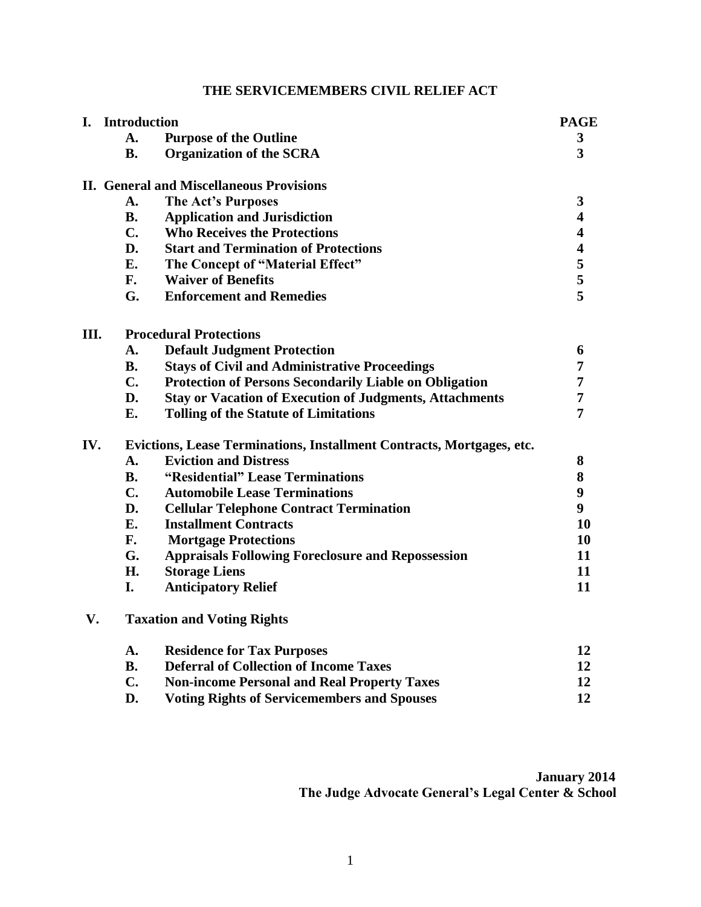#### **THE SERVICEMEMBERS CIVIL RELIEF ACT**

| I.  | <b>Introduction</b>                                                   |                                                                | <b>PAGE</b>             |  |
|-----|-----------------------------------------------------------------------|----------------------------------------------------------------|-------------------------|--|
|     | A.                                                                    | <b>Purpose of the Outline</b>                                  | 3                       |  |
|     | <b>B.</b>                                                             | <b>Organization of the SCRA</b>                                | 3                       |  |
|     |                                                                       | <b>II. General and Miscellaneous Provisions</b>                |                         |  |
|     | A.                                                                    | <b>The Act's Purposes</b>                                      | 3                       |  |
|     | <b>B.</b>                                                             | <b>Application and Jurisdiction</b>                            | $\overline{\mathbf{4}}$ |  |
|     | C.                                                                    | <b>Who Receives the Protections</b>                            | $\overline{\mathbf{4}}$ |  |
|     | D.                                                                    | <b>Start and Termination of Protections</b>                    | $\overline{\mathbf{4}}$ |  |
|     | E.                                                                    | The Concept of "Material Effect"                               | 5                       |  |
|     | F.                                                                    | <b>Waiver of Benefits</b>                                      | 5                       |  |
|     | G.                                                                    | <b>Enforcement and Remedies</b>                                | 5                       |  |
| Ш.  | <b>Procedural Protections</b>                                         |                                                                |                         |  |
|     | A.                                                                    | <b>Default Judgment Protection</b>                             | 6                       |  |
|     | <b>B.</b>                                                             | <b>Stays of Civil and Administrative Proceedings</b>           | 7                       |  |
|     | $C_{\bullet}$                                                         | <b>Protection of Persons Secondarily Liable on Obligation</b>  | 7                       |  |
|     | D.                                                                    | <b>Stay or Vacation of Execution of Judgments, Attachments</b> | 7                       |  |
|     | E.                                                                    | <b>Tolling of the Statute of Limitations</b>                   | $\overline{7}$          |  |
| IV. | Evictions, Lease Terminations, Installment Contracts, Mortgages, etc. |                                                                |                         |  |
|     | A.                                                                    | <b>Eviction and Distress</b>                                   | 8                       |  |
|     | <b>B.</b>                                                             | "Residential" Lease Terminations                               | 8                       |  |
|     | C.                                                                    | <b>Automobile Lease Terminations</b>                           | 9                       |  |
|     | D.                                                                    | <b>Cellular Telephone Contract Termination</b>                 | $\boldsymbol{9}$        |  |
|     | E.                                                                    | <b>Installment Contracts</b>                                   | <b>10</b>               |  |
|     | F.                                                                    | <b>Mortgage Protections</b>                                    | 10                      |  |
|     | G.                                                                    | <b>Appraisals Following Foreclosure and Repossession</b>       | 11                      |  |
|     | H.                                                                    | <b>Storage Liens</b>                                           | 11                      |  |
|     | I.                                                                    | <b>Anticipatory Relief</b>                                     | 11                      |  |
| V.  | <b>Taxation and Voting Rights</b>                                     |                                                                |                         |  |
|     | A.                                                                    | <b>Residence for Tax Purposes</b>                              | 12                      |  |
|     | <b>B.</b>                                                             | <b>Deferral of Collection of Income Taxes</b>                  | 12                      |  |
|     | C.                                                                    | <b>Non-income Personal and Real Property Taxes</b>             | 12                      |  |
|     | D.                                                                    | <b>Voting Rights of Servicemembers and Spouses</b>             | 12                      |  |

**January 2014 The Judge Advocate General's Legal Center & School**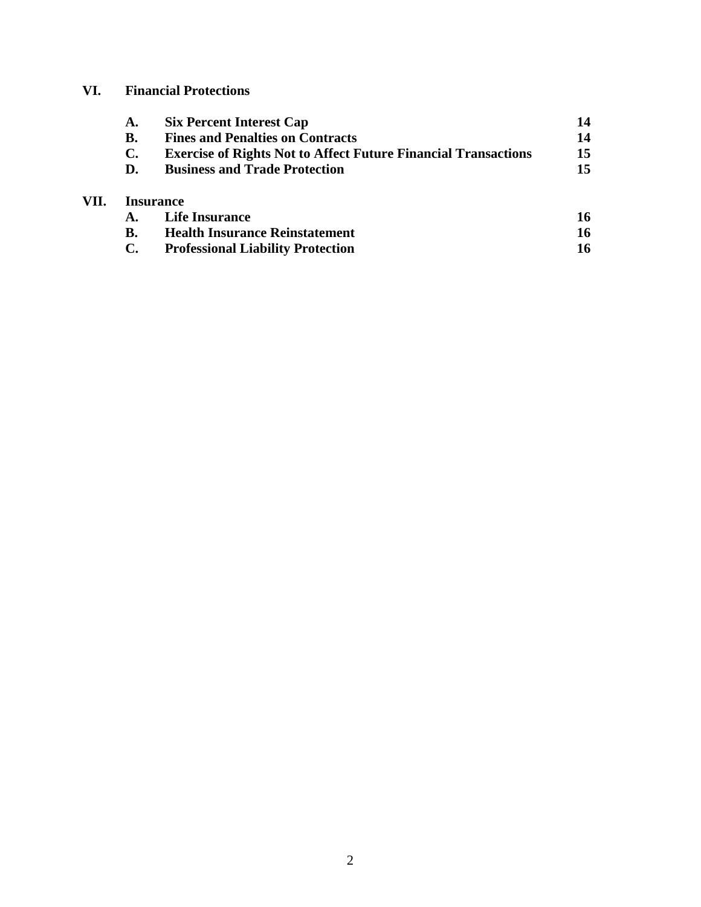#### **VI. Financial Protections**

VII.

| A.        | <b>Six Percent Interest Cap</b>                                                                                                                                                                      | 14             |
|-----------|------------------------------------------------------------------------------------------------------------------------------------------------------------------------------------------------------|----------------|
| <b>B.</b> | <b>Fines and Penalties on Contracts</b>                                                                                                                                                              | 14             |
| C.        | <b>Exercise of Rights Not to Affect Future Financial Transactions</b>                                                                                                                                | 15             |
| D.        | <b>Business and Trade Protection</b>                                                                                                                                                                 | 15             |
|           | <b>Insurance</b>                                                                                                                                                                                     |                |
|           | <b>Life Insurance</b>                                                                                                                                                                                | 16             |
|           | $\mathbf{H}_{\text{tot}}$ 141. $\mathbf{L}_{\text{tot}}$ , $\mathbf{L}_{\text{tot}}$ , $\mathbf{L}_{\text{tot}}$ , $\mathbf{L}_{\text{tot}}$ , $\mathbf{L}_{\text{tot}}$ , $\mathbf{L}_{\text{tot}}$ | $\overline{f}$ |

**B. Health Insurance Reinstatement 16**<br> **C. Professional Liability Protection 16 C. Professional Liability Protection 16**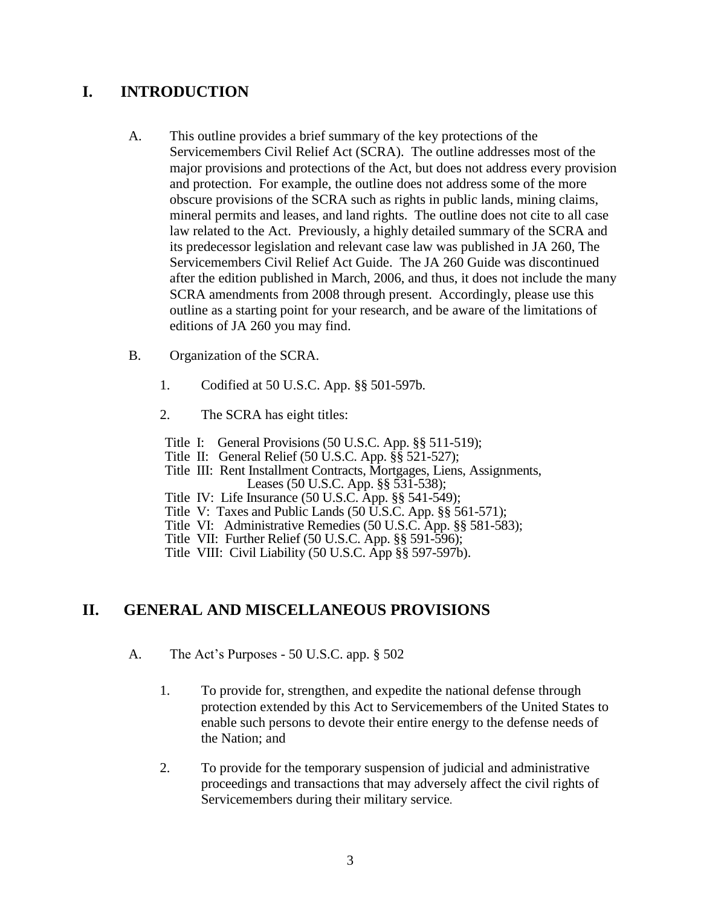## **I. INTRODUCTION**

- A. This outline provides a brief summary of the key protections of the Servicemembers Civil Relief Act (SCRA). The outline addresses most of the major provisions and protections of the Act, but does not address every provision and protection. For example, the outline does not address some of the more obscure provisions of the SCRA such as rights in public lands, mining claims, mineral permits and leases, and land rights. The outline does not cite to all case law related to the Act. Previously, a highly detailed summary of the SCRA and its predecessor legislation and relevant case law was published in JA 260, The Servicemembers Civil Relief Act Guide. The JA 260 Guide was discontinued after the edition published in March, 2006, and thus, it does not include the many SCRA amendments from 2008 through present. Accordingly, please use this outline as a starting point for your research, and be aware of the limitations of editions of JA 260 you may find.
- B. Organization of the SCRA.
	- 1. Codified at 50 U.S.C. App. §§ 501-597b.
	- 2. The SCRA has eight titles:
	- Title I: General Provisions (50 U.S.C. App. §§ 511-519);
	- Title II: General Relief (50 U.S.C. App. §§ 521-527);
	- Title III: Rent Installment Contracts, Mortgages, Liens, Assignments, Leases (50 U.S.C. App. §§ 531-538);
	- Title IV: Life Insurance (50 U.S.C. App. §§ 541-549);
	- Title V: Taxes and Public Lands (50 U.S.C. App. §§ 561-571);
	- Title VI: Administrative Remedies (50 U.S.C. App. §§ 581-583);
	- Title VII: Further Relief (50 U.S.C. App. §§ 591-596);
	- Title VIII: Civil Liability (50 U.S.C. App §§ 597-597b).

#### **II. GENERAL AND MISCELLANEOUS PROVISIONS**

- A. The Act's Purposes 50 U.S.C. app. § 502
	- 1. To provide for, strengthen, and expedite the national defense through protection extended by this Act to Servicemembers of the United States to enable such persons to devote their entire energy to the defense needs of the Nation; and
	- 2. To provide for the temporary suspension of judicial and administrative proceedings and transactions that may adversely affect the civil rights of Servicemembers during their military service.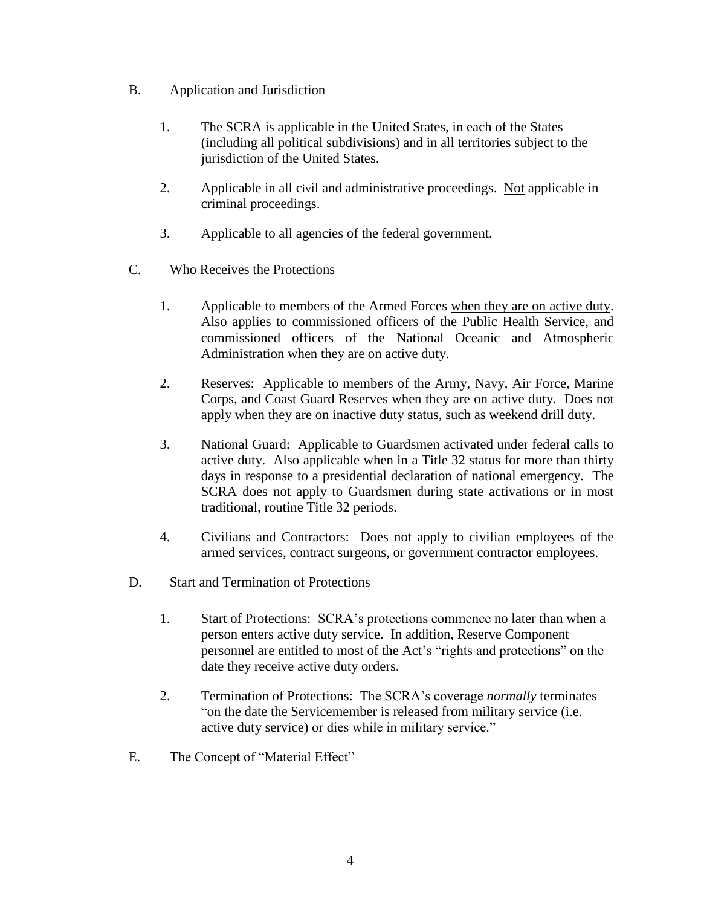- B. Application and Jurisdiction
	- 1. The SCRA is applicable in the United States, in each of the States (including all political subdivisions) and in all territories subject to the jurisdiction of the United States.
	- 2. Applicable in all civil and administrative proceedings. Not applicable in criminal proceedings.
	- 3. Applicable to all agencies of the federal government.
- C. Who Receives the Protections
	- 1. Applicable to members of the Armed Forces when they are on active duty. Also applies to commissioned officers of the Public Health Service, and commissioned officers of the National Oceanic and Atmospheric Administration when they are on active duty.
	- 2. Reserves: Applicable to members of the Army, Navy, Air Force, Marine Corps, and Coast Guard Reserves when they are on active duty. Does not apply when they are on inactive duty status, such as weekend drill duty.
	- 3. National Guard: Applicable to Guardsmen activated under federal calls to active duty. Also applicable when in a Title 32 status for more than thirty days in response to a presidential declaration of national emergency. The SCRA does not apply to Guardsmen during state activations or in most traditional, routine Title 32 periods.
	- 4. Civilians and Contractors: Does not apply to civilian employees of the armed services, contract surgeons, or government contractor employees.
- D. Start and Termination of Protections
	- 1. Start of Protections: SCRA's protections commence no later than when a person enters active duty service. In addition, Reserve Component personnel are entitled to most of the Act's "rights and protections" on the date they receive active duty orders.
	- 2. Termination of Protections: The SCRA's coverage *normally* terminates "on the date the Servicemember is released from military service (i.e. active duty service) or dies while in military service."
- E. The Concept of "Material Effect"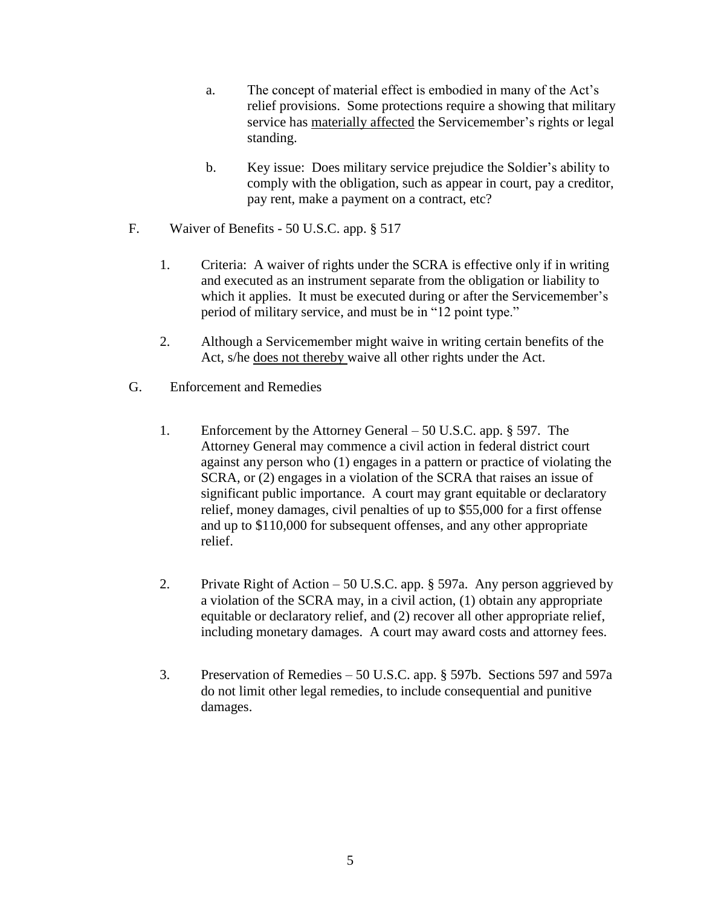- a. The concept of material effect is embodied in many of the Act's relief provisions. Some protections require a showing that military service has materially affected the Servicemember's rights or legal standing.
- b. Key issue: Does military service prejudice the Soldier's ability to comply with the obligation, such as appear in court, pay a creditor, pay rent, make a payment on a contract, etc?
- F. Waiver of Benefits 50 U.S.C. app. § 517
	- 1. Criteria: A waiver of rights under the SCRA is effective only if in writing and executed as an instrument separate from the obligation or liability to which it applies. It must be executed during or after the Servicemember's period of military service, and must be in "12 point type."
	- 2. Although a Servicemember might waive in writing certain benefits of the Act, s/he does not thereby waive all other rights under the Act.
- G. Enforcement and Remedies
	- 1. Enforcement by the Attorney General 50 U.S.C. app. § 597. The Attorney General may commence a civil action in federal district court against any person who (1) engages in a pattern or practice of violating the SCRA, or (2) engages in a violation of the SCRA that raises an issue of significant public importance. A court may grant equitable or declaratory relief, money damages, civil penalties of up to \$55,000 for a first offense and up to \$110,000 for subsequent offenses, and any other appropriate relief.
	- 2. Private Right of Action 50 U.S.C. app. § 597a. Any person aggrieved by a violation of the SCRA may, in a civil action, (1) obtain any appropriate equitable or declaratory relief, and (2) recover all other appropriate relief, including monetary damages. A court may award costs and attorney fees.
	- 3. Preservation of Remedies 50 U.S.C. app. § 597b. Sections 597 and 597a do not limit other legal remedies, to include consequential and punitive damages.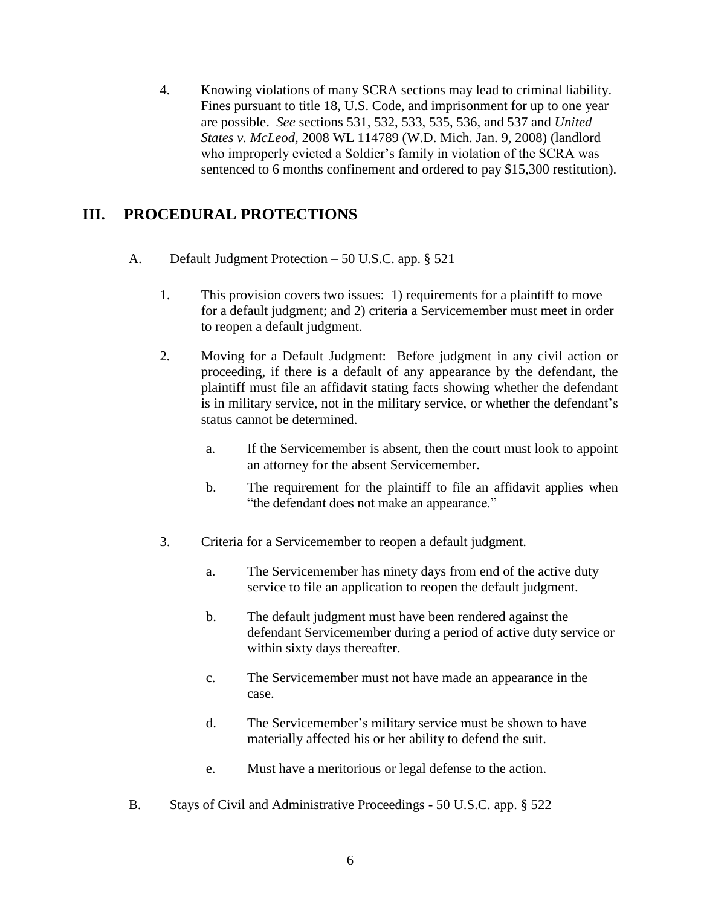4. Knowing violations of many SCRA sections may lead to criminal liability. Fines pursuant to title 18, U.S. Code, and imprisonment for up to one year are possible. *See* sections 531, 532, 533, 535, 536, and 537 and *United States v. McLeod,* 2008 WL 114789 (W.D. Mich. Jan. 9, 2008) (landlord who improperly evicted a Soldier's family in violation of the SCRA was sentenced to 6 months confinement and ordered to pay \$15,300 restitution).

## **III. PROCEDURAL PROTECTIONS**

- A. Default Judgment Protection 50 U.S.C. app. § 521
	- 1. This provision covers two issues: 1) requirements for a plaintiff to move for a default judgment; and 2) criteria a Servicemember must meet in order to reopen a default judgment.
	- 2. Moving for a Default Judgment: Before judgment in any civil action or proceeding, if there is a default of any appearance by **t**he defendant, the plaintiff must file an affidavit stating facts showing whether the defendant is in military service, not in the military service, or whether the defendant's status cannot be determined.
		- a. If the Servicemember is absent, then the court must look to appoint an attorney for the absent Servicemember.
		- b. The requirement for the plaintiff to file an affidavit applies when "the defendant does not make an appearance."
	- 3. Criteria for a Servicemember to reopen a default judgment.
		- a. The Servicemember has ninety days from end of the active duty service to file an application to reopen the default judgment.
		- b. The default judgment must have been rendered against the defendant Servicemember during a period of active duty service or within sixty days thereafter.
		- c. The Servicemember must not have made an appearance in the case.
		- d. The Servicemember's military service must be shown to have materially affected his or her ability to defend the suit.
		- e. Must have a meritorious or legal defense to the action.
- B. Stays of Civil and Administrative Proceedings 50 U.S.C. app. § 522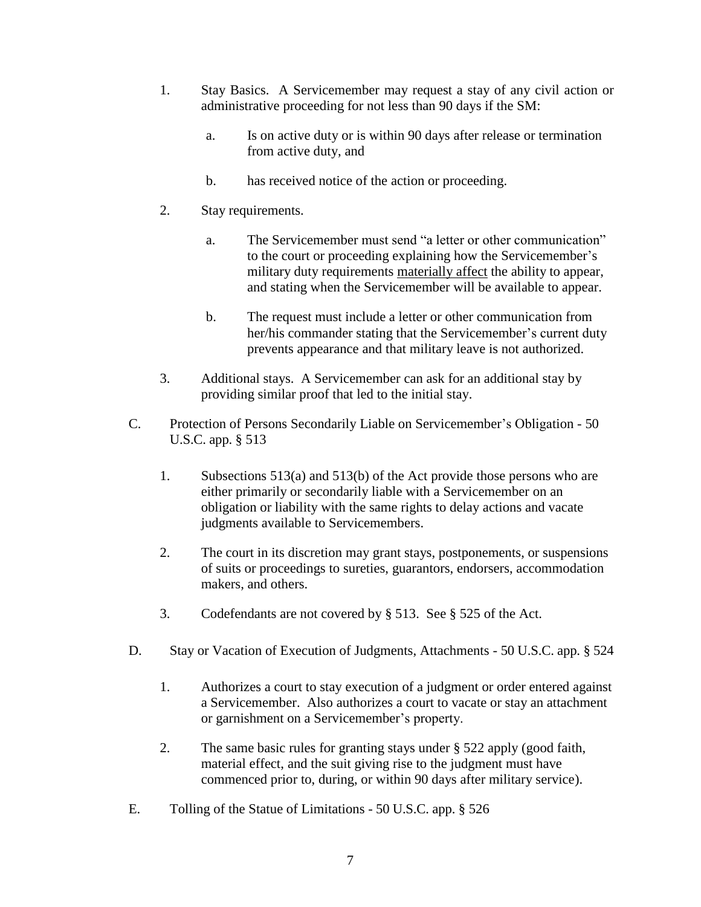- 1. Stay Basics. A Servicemember may request a stay of any civil action or administrative proceeding for not less than 90 days if the SM:
	- a. Is on active duty or is within 90 days after release or termination from active duty, and
	- b. has received notice of the action or proceeding.
- 2. Stay requirements.
	- a. The Servicemember must send "a letter or other communication" to the court or proceeding explaining how the Servicemember's military duty requirements materially affect the ability to appear, and stating when the Servicemember will be available to appear.
	- b. The request must include a letter or other communication from her/his commander stating that the Servicemember's current duty prevents appearance and that military leave is not authorized.
- 3. Additional stays. A Servicemember can ask for an additional stay by providing similar proof that led to the initial stay.
- C. Protection of Persons Secondarily Liable on Servicemember's Obligation 50 U.S.C. app. § 513
	- 1. Subsections 513(a) and 513(b) of the Act provide those persons who are either primarily or secondarily liable with a Servicemember on an obligation or liability with the same rights to delay actions and vacate judgments available to Servicemembers.
	- 2. The court in its discretion may grant stays, postponements, or suspensions of suits or proceedings to sureties, guarantors, endorsers, accommodation makers, and others.
	- 3. Codefendants are not covered by § 513. See § 525 of the Act.
- D. Stay or Vacation of Execution of Judgments, Attachments 50 U.S.C. app. § 524
	- 1. Authorizes a court to stay execution of a judgment or order entered against a Servicemember. Also authorizes a court to vacate or stay an attachment or garnishment on a Servicemember's property.
	- 2. The same basic rules for granting stays under § 522 apply (good faith, material effect, and the suit giving rise to the judgment must have commenced prior to, during, or within 90 days after military service).
- E. Tolling of the Statue of Limitations 50 U.S.C. app. § 526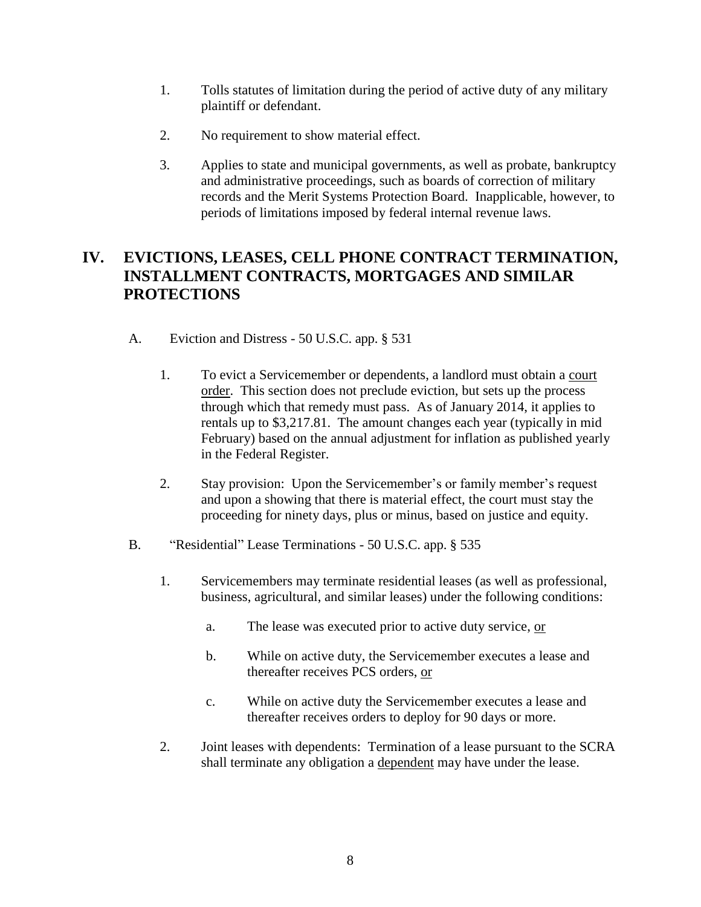- 1. Tolls statutes of limitation during the period of active duty of any military plaintiff or defendant.
- 2. No requirement to show material effect.
- 3. Applies to state and municipal governments, as well as probate, bankruptcy and administrative proceedings, such as boards of correction of military records and the Merit Systems Protection Board. Inapplicable, however, to periods of limitations imposed by federal internal revenue laws.

# **IV. EVICTIONS, LEASES, CELL PHONE CONTRACT TERMINATION, INSTALLMENT CONTRACTS, MORTGAGES AND SIMILAR PROTECTIONS**

- A. Eviction and Distress 50 U.S.C. app. § 531
	- 1. To evict a Servicemember or dependents, a landlord must obtain a court order. This section does not preclude eviction, but sets up the process through which that remedy must pass. As of January 2014, it applies to rentals up to \$3,217.81. The amount changes each year (typically in mid February) based on the annual adjustment for inflation as published yearly in the Federal Register.
	- 2. Stay provision: Upon the Servicemember's or family member's request and upon a showing that there is material effect, the court must stay the proceeding for ninety days, plus or minus, based on justice and equity.
- B. "Residential" Lease Terminations 50 U.S.C. app. § 535
	- 1. Servicemembers may terminate residential leases (as well as professional, business, agricultural, and similar leases) under the following conditions:
		- a. The lease was executed prior to active duty service, or
		- b. While on active duty, the Servicemember executes a lease and thereafter receives PCS orders, or
		- c. While on active duty the Servicemember executes a lease and thereafter receives orders to deploy for 90 days or more.
	- 2. Joint leases with dependents: Termination of a lease pursuant to the SCRA shall terminate any obligation a dependent may have under the lease.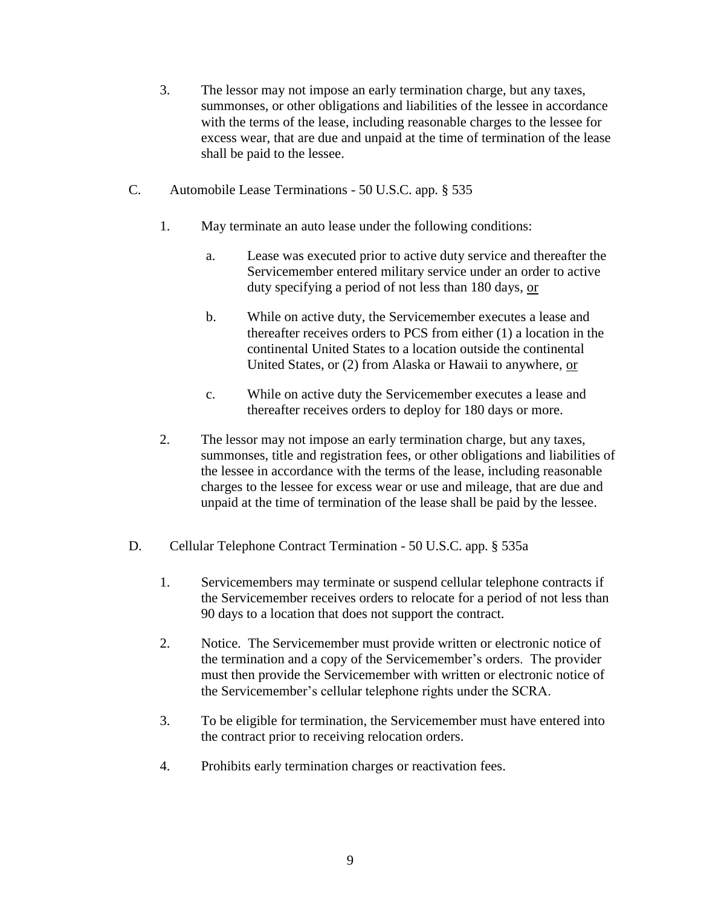- 3. The lessor may not impose an early termination charge, but any taxes, summonses, or other obligations and liabilities of the lessee in accordance with the terms of the lease, including reasonable charges to the lessee for excess wear, that are due and unpaid at the time of termination of the lease shall be paid to the lessee.
- C. Automobile Lease Terminations 50 U.S.C. app. § 535
	- 1. May terminate an auto lease under the following conditions:
		- a. Lease was executed prior to active duty service and thereafter the Servicemember entered military service under an order to active duty specifying a period of not less than 180 days, or
		- b. While on active duty, the Servicemember executes a lease and thereafter receives orders to PCS from either (1) a location in the continental United States to a location outside the continental United States, or (2) from Alaska or Hawaii to anywhere, or
		- c. While on active duty the Servicemember executes a lease and thereafter receives orders to deploy for 180 days or more.
	- 2. The lessor may not impose an early termination charge, but any taxes, summonses, title and registration fees, or other obligations and liabilities of the lessee in accordance with the terms of the lease, including reasonable charges to the lessee for excess wear or use and mileage, that are due and unpaid at the time of termination of the lease shall be paid by the lessee.
- D. Cellular Telephone Contract Termination 50 U.S.C. app. § 535a
	- 1. Servicemembers may terminate or suspend cellular telephone contracts if the Servicemember receives orders to relocate for a period of not less than 90 days to a location that does not support the contract.
	- 2. Notice. The Servicemember must provide written or electronic notice of the termination and a copy of the Servicemember's orders. The provider must then provide the Servicemember with written or electronic notice of the Servicemember's cellular telephone rights under the SCRA.
	- 3. To be eligible for termination, the Servicemember must have entered into the contract prior to receiving relocation orders.
	- 4. Prohibits early termination charges or reactivation fees.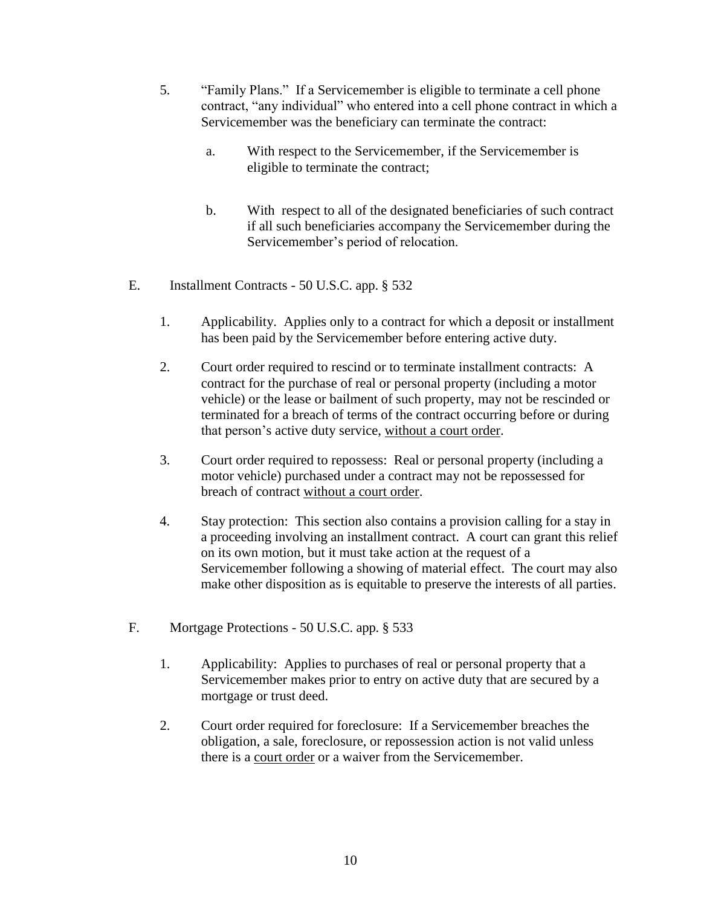- 5. "Family Plans." If a Servicemember is eligible to terminate a cell phone contract, "any individual" who entered into a cell phone contract in which a Servicemember was the beneficiary can terminate the contract:
	- a. With respect to the Servicemember, if the Servicemember is eligible to terminate the contract;
	- b. With respect to all of the designated beneficiaries of such contract if all such beneficiaries accompany the Servicemember during the Servicemember's period of relocation.
- E. Installment Contracts 50 U.S.C. app. § 532
	- 1. Applicability. Applies only to a contract for which a deposit or installment has been paid by the Servicemember before entering active duty.
	- 2. Court order required to rescind or to terminate installment contracts: A contract for the purchase of real or personal property (including a motor vehicle) or the lease or bailment of such property, may not be rescinded or terminated for a breach of terms of the contract occurring before or during that person's active duty service, without a court order.
	- 3. Court order required to repossess: Real or personal property (including a motor vehicle) purchased under a contract may not be repossessed for breach of contract without a court order.
	- 4. Stay protection: This section also contains a provision calling for a stay in a proceeding involving an installment contract. A court can grant this relief on its own motion, but it must take action at the request of a Servicemember following a showing of material effect. The court may also make other disposition as is equitable to preserve the interests of all parties.
- F. Mortgage Protections 50 U.S.C. app. § 533
	- 1. Applicability: Applies to purchases of real or personal property that a Servicemember makes prior to entry on active duty that are secured by a mortgage or trust deed.
	- 2. Court order required for foreclosure: If a Servicemember breaches the obligation, a sale, foreclosure, or repossession action is not valid unless there is a court order or a waiver from the Servicemember.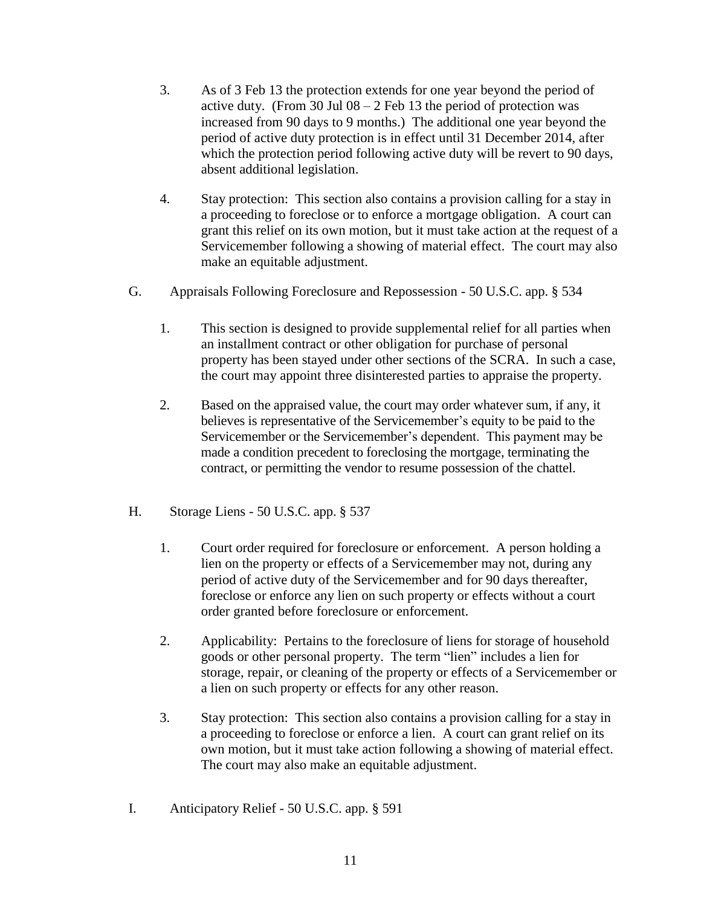- 3. As of 3 Feb 13 the protection extends for one year beyond the period of active duty. (From 30 Jul  $08 - 2$  Feb 13 the period of protection was increased from 90 days to 9 months.) The additional one year beyond the period of active duty protection is in effect until 31 December 2014, after which the protection period following active duty will be revert to 90 days, absent additional legislation.
- 4. Stay protection: This section also contains a provision calling for a stay in a proceeding to foreclose or to enforce a mortgage obligation. A court can grant this relief on its own motion, but it must take action at the request of a Servicemember following a showing of material effect. The court may also make an equitable adjustment.
- G. Appraisals Following Foreclosure and Repossession 50 U.S.C. app. § 534
	- 1. This section is designed to provide supplemental relief for all parties when an installment contract or other obligation for purchase of personal property has been stayed under other sections of the SCRA. In such a case, the court may appoint three disinterested parties to appraise the property.
	- 2. Based on the appraised value, the court may order whatever sum, if any, it believes is representative of the Servicemember's equity to be paid to the Servicemember or the Servicemember's dependent. This payment may be made a condition precedent to foreclosing the mortgage, terminating the contract, or permitting the vendor to resume possession of the chattel.
- H. Storage Liens 50 U.S.C. app. § 537
	- 1. Court order required for foreclosure or enforcement. A person holding a lien on the property or effects of a Servicemember may not, during any period of active duty of the Servicemember and for 90 days thereafter, foreclose or enforce any lien on such property or effects without a court order granted before foreclosure or enforcement.
	- 2. Applicability: Pertains to the foreclosure of liens for storage of household goods or other personal property. The term "lien" includes a lien for storage, repair, or cleaning of the property or effects of a Servicemember or a lien on such property or effects for any other reason.
	- 3. Stay protection: This section also contains a provision calling for a stay in a proceeding to foreclose or enforce a lien. A court can grant relief on its own motion, but it must take action following a showing of material effect. The court may also make an equitable adjustment.
- I. Anticipatory Relief 50 U.S.C. app. § 591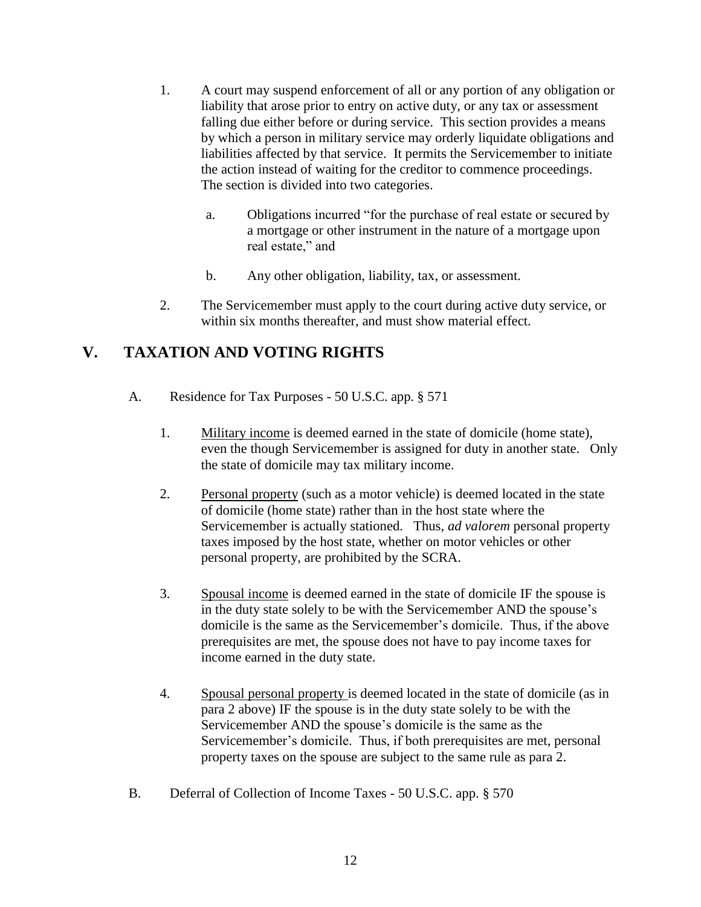- 1. A court may suspend enforcement of all or any portion of any obligation or liability that arose prior to entry on active duty, or any tax or assessment falling due either before or during service. This section provides a means by which a person in military service may orderly liquidate obligations and liabilities affected by that service. It permits the Servicemember to initiate the action instead of waiting for the creditor to commence proceedings. The section is divided into two categories.
	- a. Obligations incurred "for the purchase of real estate or secured by a mortgage or other instrument in the nature of a mortgage upon real estate," and
	- b. Any other obligation, liability, tax, or assessment.
- 2. The Servicemember must apply to the court during active duty service, or within six months thereafter, and must show material effect.

# **V. TAXATION AND VOTING RIGHTS**

- A. Residence for Tax Purposes 50 U.S.C. app. § 571
	- 1. Military income is deemed earned in the state of domicile (home state), even the though Servicemember is assigned for duty in another state. Only the state of domicile may tax military income.
	- 2. Personal property (such as a motor vehicle) is deemed located in the state of domicile (home state) rather than in the host state where the Servicemember is actually stationed. Thus, *ad valorem* personal property taxes imposed by the host state, whether on motor vehicles or other personal property, are prohibited by the SCRA.
	- 3. Spousal income is deemed earned in the state of domicile IF the spouse is in the duty state solely to be with the Servicemember AND the spouse's domicile is the same as the Servicemember's domicile. Thus, if the above prerequisites are met, the spouse does not have to pay income taxes for income earned in the duty state.
	- 4. Spousal personal property is deemed located in the state of domicile (as in para 2 above) IF the spouse is in the duty state solely to be with the Servicemember AND the spouse's domicile is the same as the Servicemember's domicile. Thus, if both prerequisites are met, personal property taxes on the spouse are subject to the same rule as para 2.
- B. Deferral of Collection of Income Taxes 50 U.S.C. app. § 570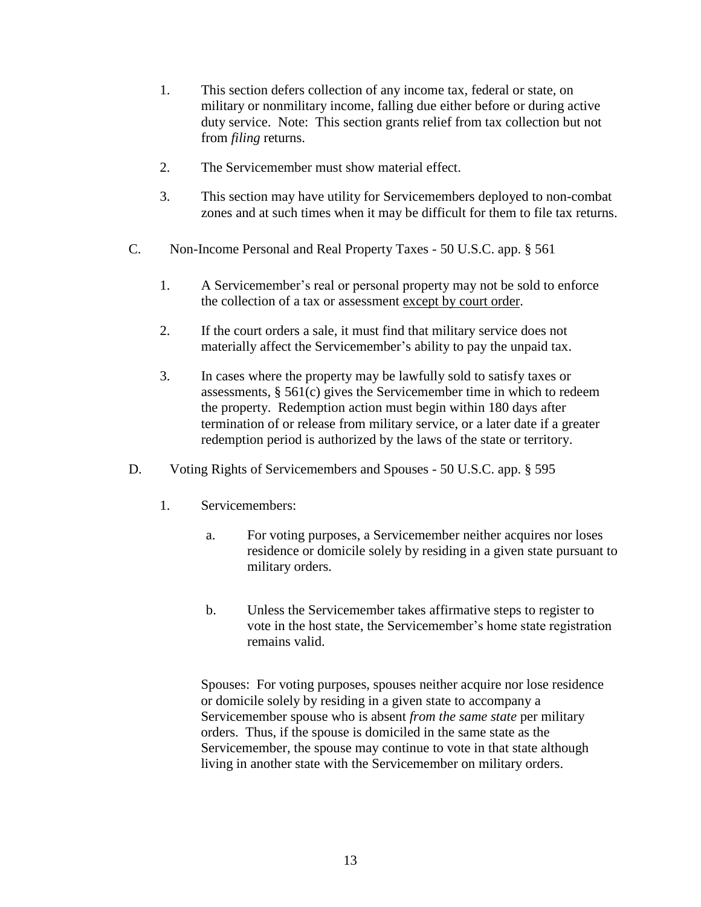- 1. This section defers collection of any income tax, federal or state, on military or nonmilitary income, falling due either before or during active duty service. Note: This section grants relief from tax collection but not from *filing* returns.
- 2. The Servicemember must show material effect.
- 3. This section may have utility for Servicemembers deployed to non-combat zones and at such times when it may be difficult for them to file tax returns.
- C. Non-Income Personal and Real Property Taxes 50 U.S.C. app. § 561
	- 1. A Servicemember's real or personal property may not be sold to enforce the collection of a tax or assessment except by court order.
	- 2. If the court orders a sale, it must find that military service does not materially affect the Servicemember's ability to pay the unpaid tax.
	- 3. In cases where the property may be lawfully sold to satisfy taxes or assessments, § 561(c) gives the Servicemember time in which to redeem the property. Redemption action must begin within 180 days after termination of or release from military service, or a later date if a greater redemption period is authorized by the laws of the state or territory.
- D. Voting Rights of Servicemembers and Spouses 50 U.S.C. app. § 595
	- 1. Servicemembers:
		- a. For voting purposes, a Servicemember neither acquires nor loses residence or domicile solely by residing in a given state pursuant to military orders.
		- b. Unless the Servicemember takes affirmative steps to register to vote in the host state, the Servicemember's home state registration remains valid.

Spouses: For voting purposes, spouses neither acquire nor lose residence or domicile solely by residing in a given state to accompany a Servicemember spouse who is absent *from the same state* per military orders. Thus, if the spouse is domiciled in the same state as the Servicemember, the spouse may continue to vote in that state although living in another state with the Servicemember on military orders.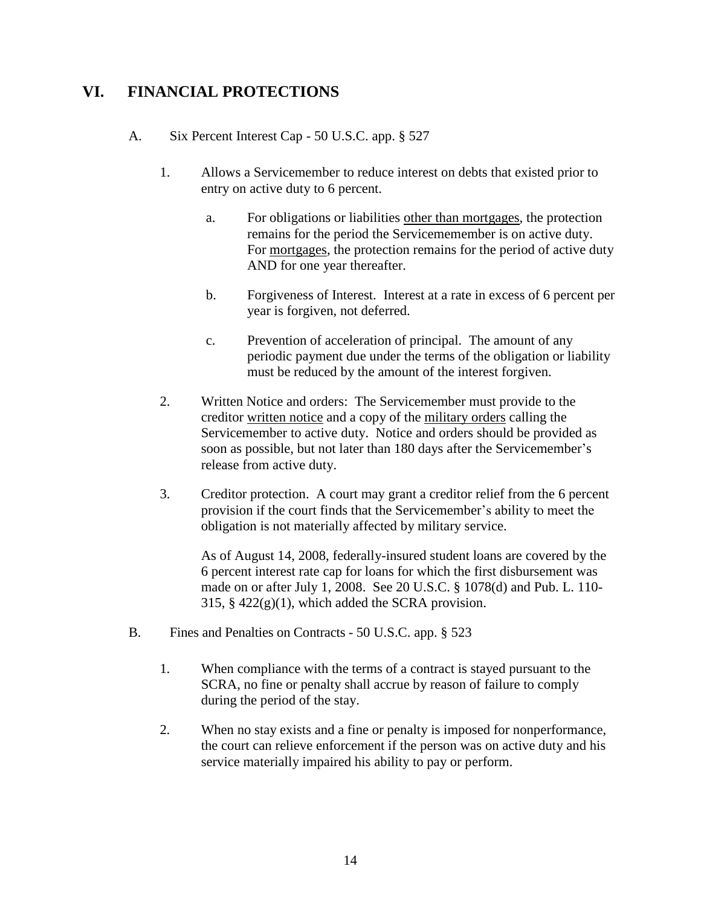## **VI. FINANCIAL PROTECTIONS**

#### A. Six Percent Interest Cap - 50 U.S.C. app. § 527

- 1. Allows a Servicemember to reduce interest on debts that existed prior to entry on active duty to 6 percent.
	- a. For obligations or liabilities other than mortgages, the protection remains for the period the Servicememember is on active duty. For mortgages, the protection remains for the period of active duty AND for one year thereafter.
	- b. Forgiveness of Interest. Interest at a rate in excess of 6 percent per year is forgiven, not deferred.
	- c. Prevention of acceleration of principal. The amount of any periodic payment due under the terms of the obligation or liability must be reduced by the amount of the interest forgiven.
- 2. Written Notice and orders: The Servicemember must provide to the creditor written notice and a copy of the military orders calling the Servicemember to active duty. Notice and orders should be provided as soon as possible, but not later than 180 days after the Servicemember's release from active duty.
- 3. Creditor protection. A court may grant a creditor relief from the 6 percent provision if the court finds that the Servicemember's ability to meet the obligation is not materially affected by military service.

As of August 14, 2008, federally-insured student loans are covered by the 6 percent interest rate cap for loans for which the first disbursement was made on or after July 1, 2008. See 20 U.S.C. § 1078(d) and Pub. L. 110- 315,  $\S$  422(g)(1), which added the SCRA provision.

- B. Fines and Penalties on Contracts 50 U.S.C. app. § 523
	- 1. When compliance with the terms of a contract is stayed pursuant to the SCRA, no fine or penalty shall accrue by reason of failure to comply during the period of the stay.
	- 2. When no stay exists and a fine or penalty is imposed for nonperformance, the court can relieve enforcement if the person was on active duty and his service materially impaired his ability to pay or perform.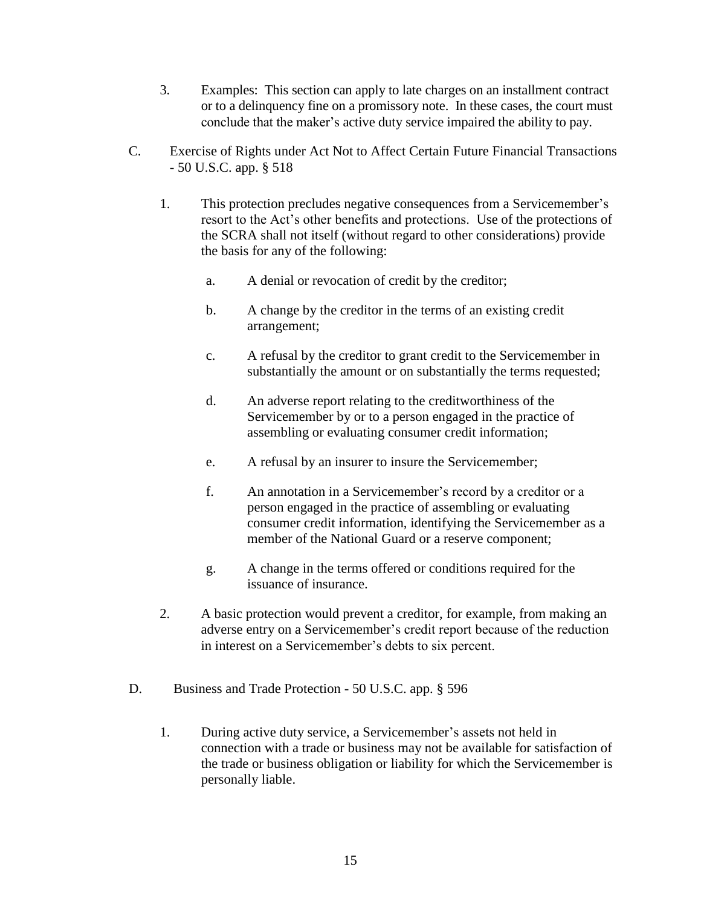- 3. Examples: This section can apply to late charges on an installment contract or to a delinquency fine on a promissory note. In these cases, the court must conclude that the maker's active duty service impaired the ability to pay.
- C. Exercise of Rights under Act Not to Affect Certain Future Financial Transactions - 50 U.S.C. app. § 518
	- 1. This protection precludes negative consequences from a Servicemember's resort to the Act's other benefits and protections. Use of the protections of the SCRA shall not itself (without regard to other considerations) provide the basis for any of the following:
		- a. A denial or revocation of credit by the creditor;
		- b. A change by the creditor in the terms of an existing credit arrangement;
		- c. A refusal by the creditor to grant credit to the Servicemember in substantially the amount or on substantially the terms requested;
		- d. An adverse report relating to the creditworthiness of the Servicemember by or to a person engaged in the practice of assembling or evaluating consumer credit information;
		- e. A refusal by an insurer to insure the Servicemember;
		- f. An annotation in a Servicemember's record by a creditor or a person engaged in the practice of assembling or evaluating consumer credit information, identifying the Servicemember as a member of the National Guard or a reserve component;
		- g. A change in the terms offered or conditions required for the issuance of insurance.
	- 2. A basic protection would prevent a creditor, for example, from making an adverse entry on a Servicemember's credit report because of the reduction in interest on a Servicemember's debts to six percent.
- D. Business and Trade Protection 50 U.S.C. app. § 596
	- 1. During active duty service, a Servicemember's assets not held in connection with a trade or business may not be available for satisfaction of the trade or business obligation or liability for which the Servicemember is personally liable.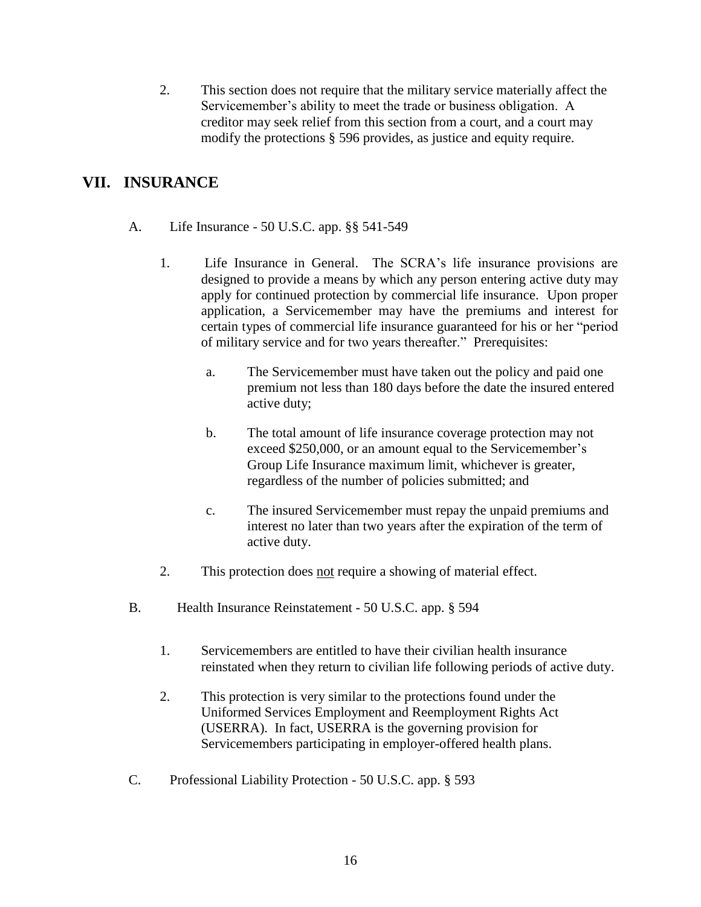2. This section does not require that the military service materially affect the Servicemember's ability to meet the trade or business obligation. A creditor may seek relief from this section from a court, and a court may modify the protections § 596 provides, as justice and equity require.

## **VII. INSURANCE**

- A. Life Insurance 50 U.S.C. app. §§ 541-549
	- 1. Life Insurance in General. The SCRA's life insurance provisions are designed to provide a means by which any person entering active duty may apply for continued protection by commercial life insurance. Upon proper application, a Servicemember may have the premiums and interest for certain types of commercial life insurance guaranteed for his or her "period of military service and for two years thereafter." Prerequisites:
		- a. The Servicemember must have taken out the policy and paid one premium not less than 180 days before the date the insured entered active duty;
		- b. The total amount of life insurance coverage protection may not exceed \$250,000, or an amount equal to the Servicemember's Group Life Insurance maximum limit, whichever is greater, regardless of the number of policies submitted; and
		- c. The insured Servicemember must repay the unpaid premiums and interest no later than two years after the expiration of the term of active duty.
	- 2. This protection does not require a showing of material effect.
- B. Health Insurance Reinstatement 50 U.S.C. app. § 594
	- 1. Servicemembers are entitled to have their civilian health insurance reinstated when they return to civilian life following periods of active duty.
	- 2. This protection is very similar to the protections found under the Uniformed Services Employment and Reemployment Rights Act (USERRA). In fact, USERRA is the governing provision for Servicemembers participating in employer-offered health plans.
- C. Professional Liability Protection 50 U.S.C. app. § 593